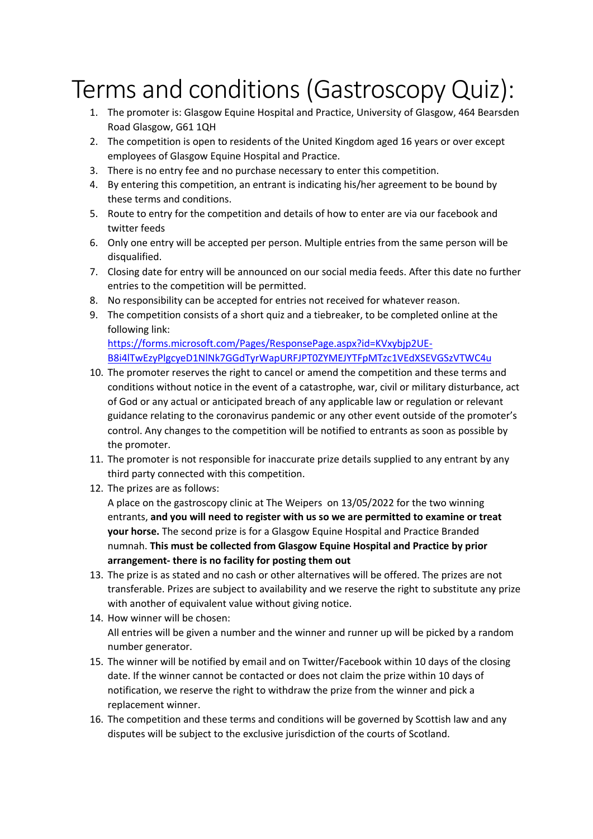## Terms and conditions(Gastroscopy Quiz):

- 1. The promoter is: Glasgow Equine Hospital and Practice, University of Glasgow, 464 Bearsden Road Glasgow, G61 1QH
- 2. The competition is open to residents of the United Kingdom aged 16 years or over except employees of Glasgow Equine Hospital and Practice.
- 3. There is no entry fee and no purchase necessary to enter this competition.
- 4. By entering this competition, an entrant is indicating his/her agreement to be bound by these terms and conditions.
- 5. Route to entry for the competition and details of how to enter are via our facebook and twitter feeds
- 6. Only one entry will be accepted per person. Multiple entries from the same person will be disqualified.
- 7. Closing date for entry will be announced on our social media feeds. After this date no further entries to the competition will be permitted.
- 8. No responsibility can be accepted for entries not received for whatever reason.
- 9. The competition consists of a short quiz and a tiebreaker, to be completed online at the following link: https://forms.microsoft.com/Pages/ResponsePage.aspx?id=KVxybjp2UE-B8i4lTwEzyPlgcyeD1NlNk7GGdTyrWapURFJPT0ZYMEJYTFpMTzc1VEdXSEVGSzVTWC4u
- 10. The promoter reserves the right to cancel or amend the competition and these terms and conditions without notice in the event of a catastrophe, war, civil or military disturbance, act of God or any actual or anticipated breach of any applicable law or regulation or relevant guidance relating to the coronavirus pandemic or any other event outside of the promoter's control. Any changes to the competition will be notified to entrants as soon as possible by the promoter.
- 11. The promoter is not responsible for inaccurate prize details supplied to any entrant by any third party connected with this competition.
- 12. The prizes are as follows:

A place on the gastroscopy clinic at The Weipers on 13/05/2022 for the two winning entrants, **and you will need to register with us so we are permitted to examine or treat your horse.** The second prize is for a Glasgow Equine Hospital and Practice Branded numnah. **This must be collected from Glasgow Equine Hospital and Practice by prior arrangement- there is no facility for posting them out**

- 13. The prize is as stated and no cash or other alternatives will be offered. The prizes are not transferable. Prizes are subject to availability and we reserve the right to substitute any prize with another of equivalent value without giving notice.
- 14. How winner will be chosen: All entries will be given a number and the winner and runner up will be picked by a random number generator.
- 15. The winner will be notified by email and on Twitter/Facebook within 10 days of the closing date. If the winner cannot be contacted or does not claim the prize within 10 days of notification, we reserve the right to withdraw the prize from the winner and pick a replacement winner.
- 16. The competition and these terms and conditions will be governed by Scottish law and any disputes will be subject to the exclusive jurisdiction of the courts of Scotland.